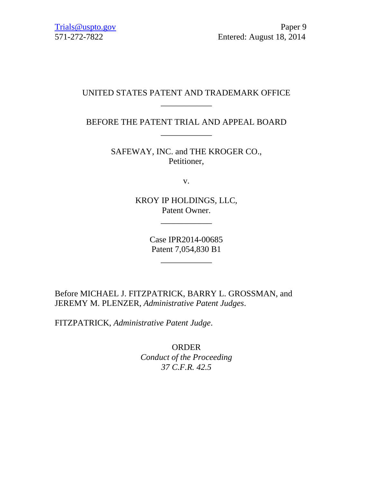## UNITED STATES PATENT AND TRADEMARK OFFICE \_\_\_\_\_\_\_\_\_\_\_\_

BEFORE THE PATENT TRIAL AND APPEAL BOARD \_\_\_\_\_\_\_\_\_\_\_\_

> SAFEWAY, INC. and THE KROGER CO., Petitioner,

> > v.

KROY IP HOLDINGS, LLC, Patent Owner.

\_\_\_\_\_\_\_\_\_\_\_\_

Case IPR2014-00685 Patent 7,054,830 B1

\_\_\_\_\_\_\_\_\_\_\_\_

Before MICHAEL J. FITZPATRICK, BARRY L. GROSSMAN, and JEREMY M. PLENZER, *Administrative Patent Judges*.

FITZPATRICK, *Administrative Patent Judge*.

ORDER *Conduct of the Proceeding 37 C.F.R. 42.5*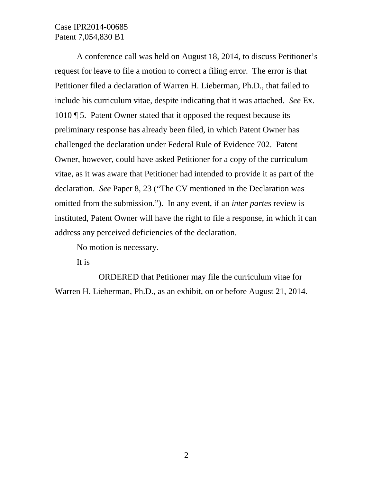## Case IPR2014-00685 Patent 7,054,830 B1

A conference call was held on August 18, 2014, to discuss Petitioner's request for leave to file a motion to correct a filing error. The error is that Petitioner filed a declaration of Warren H. Lieberman, Ph.D., that failed to include his curriculum vitae, despite indicating that it was attached. *See* Ex. 1010 ¶ 5. Patent Owner stated that it opposed the request because its preliminary response has already been filed, in which Patent Owner has challenged the declaration under Federal Rule of Evidence 702. Patent Owner, however, could have asked Petitioner for a copy of the curriculum vitae, as it was aware that Petitioner had intended to provide it as part of the declaration. *See* Paper 8, 23 ("The CV mentioned in the Declaration was omitted from the submission."). In any event, if an *inter partes* review is instituted, Patent Owner will have the right to file a response, in which it can address any perceived deficiencies of the declaration.

No motion is necessary.

It is

ORDERED that Petitioner may file the curriculum vitae for Warren H. Lieberman, Ph.D., as an exhibit, on or before August 21, 2014.